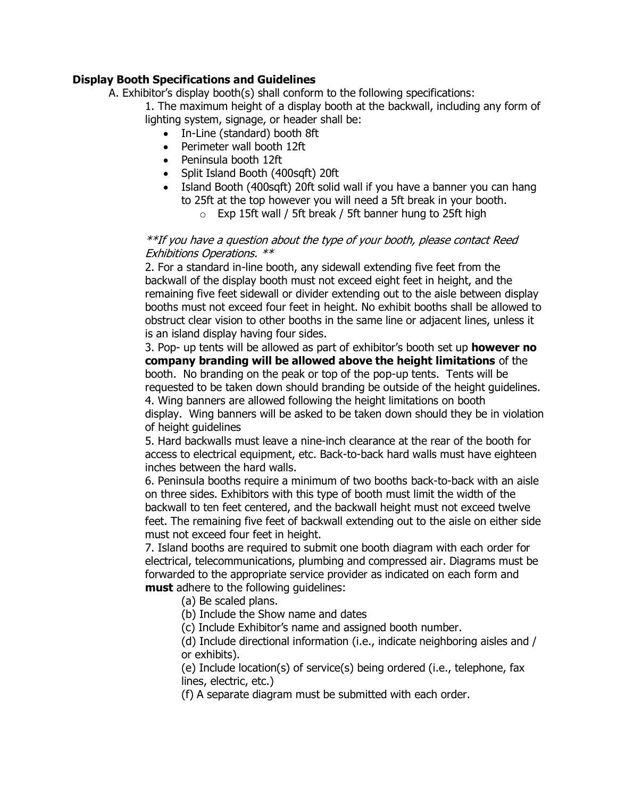## **Display Booth Specifications and Guidelines**

A. Exhibitor's display booth(s) shall conform to the following specifications:

1. The maximum height of a display booth at the backwall, including any form of lighting system, signage, or header shall be:

- In-Line (standard) booth 8ft
- Perimeter wall booth 12ft
- Peninsula booth 12ft
- Split Island Booth (400sqft) 20ft
- Island Booth (400sqft) 20ft solid wall if you have a banner you can hang to 25ft at the top however you will need a 5ft break in your booth.
	- $\circ$  Exp 15ft wall / 5ft break / 5ft banner hung to 25ft high

### \*\*If you have a question about the type of your booth, please contact Reed Exhibitions Operations. \*\*

2. For a standard in-line booth, any sidewall extending five feet from the backwall of the display booth must not exceed eight feet in height, and the remaining five feet sidewall or divider extending out to the aisle between display booths must not exceed four feet in height. No exhibit booths shall be allowed to obstruct clear vision to other booths in the same line or adjacent lines, unless it is an island display having four sides.

3. Pop- up tents will be allowed as part of exhibitor's booth set up **however no company branding will be allowed above the height limitations** of the booth. No branding on the peak or top of the pop-up tents. Tents will be requested to be taken down should branding be outside of the height guidelines. 4. Wing banners are allowed following the height limitations on booth

display. Wing banners will be asked to be taken down should they be in violation of height guidelines

5. Hard backwalls must leave a nine-inch clearance at the rear of the booth for access to electrical equipment, etc. Back-to-back hard walls must have eighteen inches between the hard walls.

6. Peninsula booths require a minimum of two booths back-to-back with an aisle on three sides. Exhibitors with this type of booth must limit the width of the backwall to ten feet centered, and the backwall height must not exceed twelve feet. The remaining five feet of backwall extending out to the aisle on either side must not exceed four feet in height.

7. Island booths are required to submit one booth diagram with each order for electrical, telecommunications, plumbing and compressed air. Diagrams must be forwarded to the appropriate service provider as indicated on each form and **must** adhere to the following guidelines:

(a) Be scaled plans.

(b) Include the Show name and dates

(c) Include Exhibitor's name and assigned booth number.

(d) Include directional information (i.e., indicate neighboring aisles and / or exhibits).

(e) Include location(s) of service(s) being ordered (i.e., telephone, fax lines, electric, etc.)

(f) A separate diagram must be submitted with each order.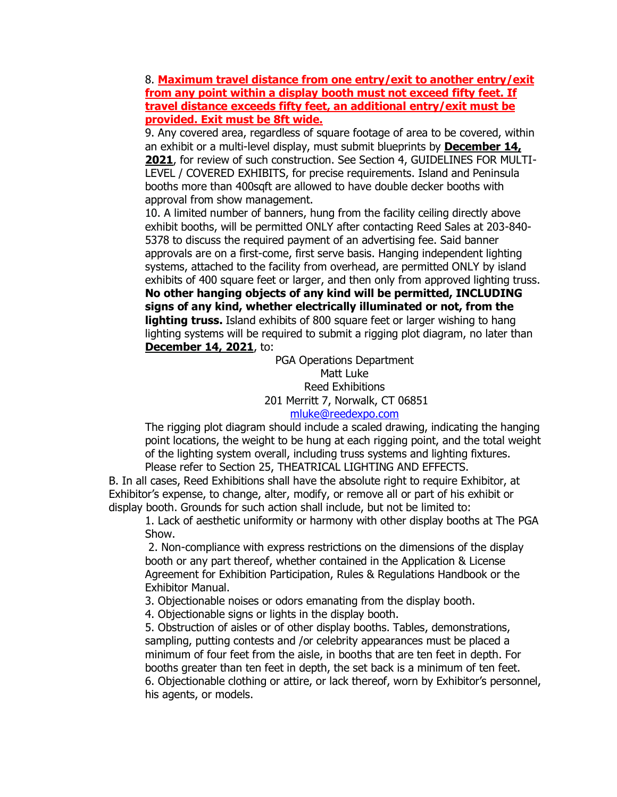8. **Maximum travel distance from one entry/exit to another entry/exit from any point within a display booth must not exceed fifty feet. If travel distance exceeds fifty feet, an additional entry/exit must be provided. Exit must be 8ft wide.**

9. Any covered area, regardless of square footage of area to be covered, within an exhibit or a multi-level display, must submit blueprints by **December 14, 2021**, for review of such construction. See Section 4, GUIDELINES FOR MULTI-LEVEL / COVERED EXHIBITS, for precise requirements. Island and Peninsula booths more than 400sqft are allowed to have double decker booths with approval from show management.

10. A limited number of banners, hung from the facility ceiling directly above exhibit booths, will be permitted ONLY after contacting Reed Sales at 203-840- 5378 to discuss the required payment of an advertising fee. Said banner approvals are on a first-come, first serve basis. Hanging independent lighting systems, attached to the facility from overhead, are permitted ONLY by island exhibits of 400 square feet or larger, and then only from approved lighting truss. **No other hanging objects of any kind will be permitted, INCLUDING signs of any kind, whether electrically illuminated or not, from the lighting truss.** Island exhibits of 800 square feet or larger wishing to hang lighting systems will be required to submit a rigging plot diagram, no later than **December 14, 2021**, to:

> PGA Operations Department Matt Luke Reed Exhibitions 201 Merritt 7, Norwalk, CT 06851 [mluke@reedexpo.com](mailto:mluke@reedexpo.com)

The rigging plot diagram should include a scaled drawing, indicating the hanging point locations, the weight to be hung at each rigging point, and the total weight of the lighting system overall, including truss systems and lighting fixtures. Please refer to Section 25, THEATRICAL LIGHTING AND EFFECTS.

B. In all cases, Reed Exhibitions shall have the absolute right to require Exhibitor, at Exhibitor's expense, to change, alter, modify, or remove all or part of his exhibit or display booth. Grounds for such action shall include, but not be limited to:

1. Lack of aesthetic uniformity or harmony with other display booths at The PGA Show.

2. Non-compliance with express restrictions on the dimensions of the display booth or any part thereof, whether contained in the Application & License Agreement for Exhibition Participation, Rules & Regulations Handbook or the Exhibitor Manual.

3. Objectionable noises or odors emanating from the display booth.

4. Objectionable signs or lights in the display booth.

5. Obstruction of aisles or of other display booths. Tables, demonstrations, sampling, putting contests and /or celebrity appearances must be placed a minimum of four feet from the aisle, in booths that are ten feet in depth. For booths greater than ten feet in depth, the set back is a minimum of ten feet. 6. Objectionable clothing or attire, or lack thereof, worn by Exhibitor's personnel, his agents, or models.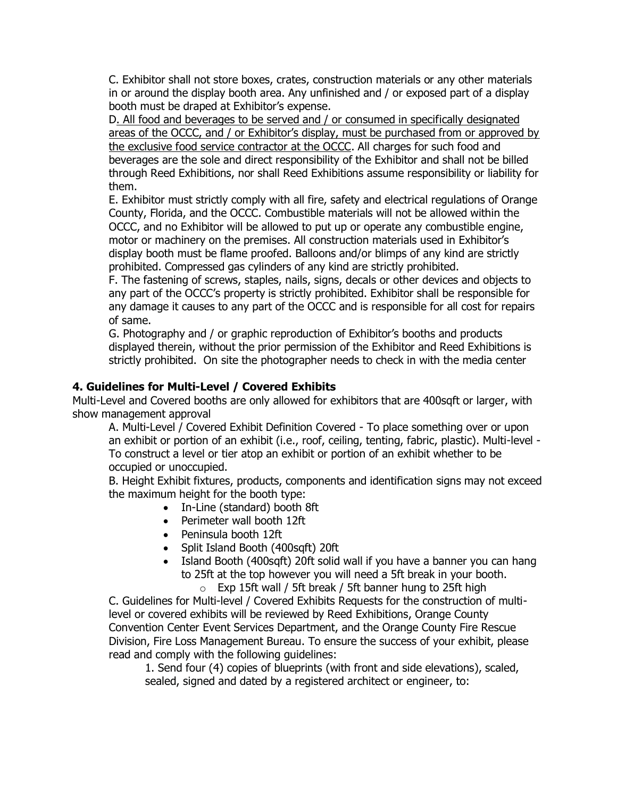C. Exhibitor shall not store boxes, crates, construction materials or any other materials in or around the display booth area. Any unfinished and / or exposed part of a display booth must be draped at Exhibitor's expense.

D. All food and beverages to be served and / or consumed in specifically designated areas of the OCCC, and / or Exhibitor's display, must be purchased from or approved by the exclusive food service contractor at the OCCC. All charges for such food and beverages are the sole and direct responsibility of the Exhibitor and shall not be billed through Reed Exhibitions, nor shall Reed Exhibitions assume responsibility or liability for them.

E. Exhibitor must strictly comply with all fire, safety and electrical regulations of Orange County, Florida, and the OCCC. Combustible materials will not be allowed within the OCCC, and no Exhibitor will be allowed to put up or operate any combustible engine, motor or machinery on the premises. All construction materials used in Exhibitor's display booth must be flame proofed. Balloons and/or blimps of any kind are strictly prohibited. Compressed gas cylinders of any kind are strictly prohibited.

F. The fastening of screws, staples, nails, signs, decals or other devices and objects to any part of the OCCC's property is strictly prohibited. Exhibitor shall be responsible for any damage it causes to any part of the OCCC and is responsible for all cost for repairs of same.

G. Photography and / or graphic reproduction of Exhibitor's booths and products displayed therein, without the prior permission of the Exhibitor and Reed Exhibitions is strictly prohibited. On site the photographer needs to check in with the media center

# **4. Guidelines for Multi-Level / Covered Exhibits**

Multi-Level and Covered booths are only allowed for exhibitors that are 400sqft or larger, with show management approval

A. Multi-Level / Covered Exhibit Definition Covered - To place something over or upon an exhibit or portion of an exhibit (i.e., roof, ceiling, tenting, fabric, plastic). Multi-level - To construct a level or tier atop an exhibit or portion of an exhibit whether to be occupied or unoccupied.

B. Height Exhibit fixtures, products, components and identification signs may not exceed the maximum height for the booth type:

- In-Line (standard) booth 8ft
- Perimeter wall booth 12ft
- Peninsula booth 12ft
- Split Island Booth (400sqft) 20ft
- Island Booth (400sqft) 20ft solid wall if you have a banner you can hang to 25ft at the top however you will need a 5ft break in your booth.

 $\circ$  Exp 15ft wall / 5ft break / 5ft banner hung to 25ft high

C. Guidelines for Multi-level / Covered Exhibits Requests for the construction of multilevel or covered exhibits will be reviewed by Reed Exhibitions, Orange County Convention Center Event Services Department, and the Orange County Fire Rescue Division, Fire Loss Management Bureau. To ensure the success of your exhibit, please read and comply with the following guidelines:

1. Send four (4) copies of blueprints (with front and side elevations), scaled, sealed, signed and dated by a registered architect or engineer, to: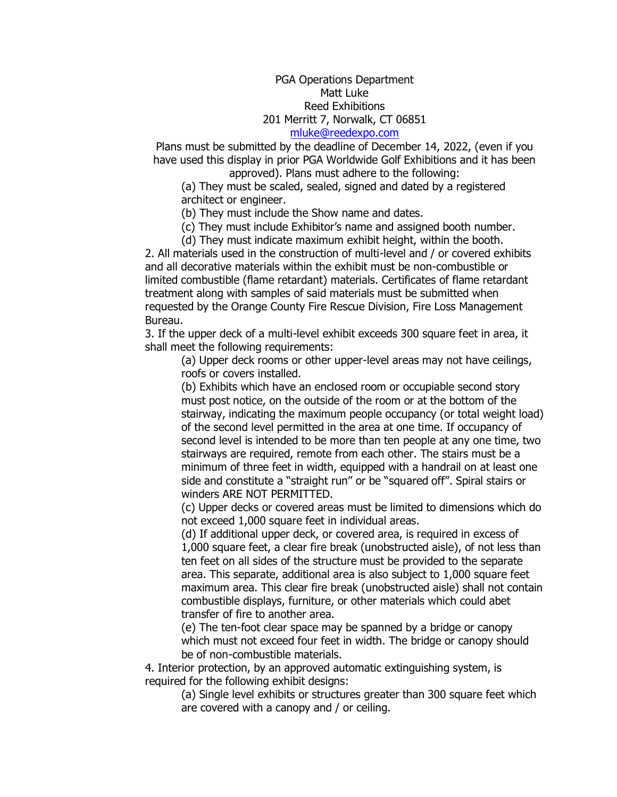#### PGA Operations Department Matt Luke Reed Exhibitions 201 Merritt 7, Norwalk, CT 06851 [mluke@reedexpo.com](mailto:mluke@reedexpo.com)

Plans must be submitted by the deadline of December 14, 2022, (even if you have used this display in prior PGA Worldwide Golf Exhibitions and it has been approved). Plans must adhere to the following:

(a) They must be scaled, sealed, signed and dated by a registered architect or engineer.

(b) They must include the Show name and dates.

(c) They must include Exhibitor's name and assigned booth number.

(d) They must indicate maximum exhibit height, within the booth.

2. All materials used in the construction of multi-level and / or covered exhibits and all decorative materials within the exhibit must be non-combustible or limited combustible (flame retardant) materials. Certificates of flame retardant treatment along with samples of said materials must be submitted when requested by the Orange County Fire Rescue Division, Fire Loss Management Bureau.

3. If the upper deck of a multi-level exhibit exceeds 300 square feet in area, it shall meet the following requirements:

(a) Upper deck rooms or other upper-level areas may not have ceilings, roofs or covers installed.

(b) Exhibits which have an enclosed room or occupiable second story must post notice, on the outside of the room or at the bottom of the stairway, indicating the maximum people occupancy (or total weight load) of the second level permitted in the area at one time. If occupancy of second level is intended to be more than ten people at any one time, two stairways are required, remote from each other. The stairs must be a minimum of three feet in width, equipped with a handrail on at least one side and constitute a "straight run" or be "squared off". Spiral stairs or winders ARE NOT PERMITTED.

(c) Upper decks or covered areas must be limited to dimensions which do not exceed 1,000 square feet in individual areas.

(d) If additional upper deck, or covered area, is required in excess of 1,000 square feet, a clear fire break (unobstructed aisle), of not less than ten feet on all sides of the structure must be provided to the separate area. This separate, additional area is also subject to 1,000 square feet maximum area. This clear fire break (unobstructed aisle) shall not contain combustible displays, furniture, or other materials which could abet transfer of fire to another area.

(e) The ten-foot clear space may be spanned by a bridge or canopy which must not exceed four feet in width. The bridge or canopy should be of non-combustible materials.

4. Interior protection, by an approved automatic extinguishing system, is required for the following exhibit designs:

> (a) Single level exhibits or structures greater than 300 square feet which are covered with a canopy and / or ceiling.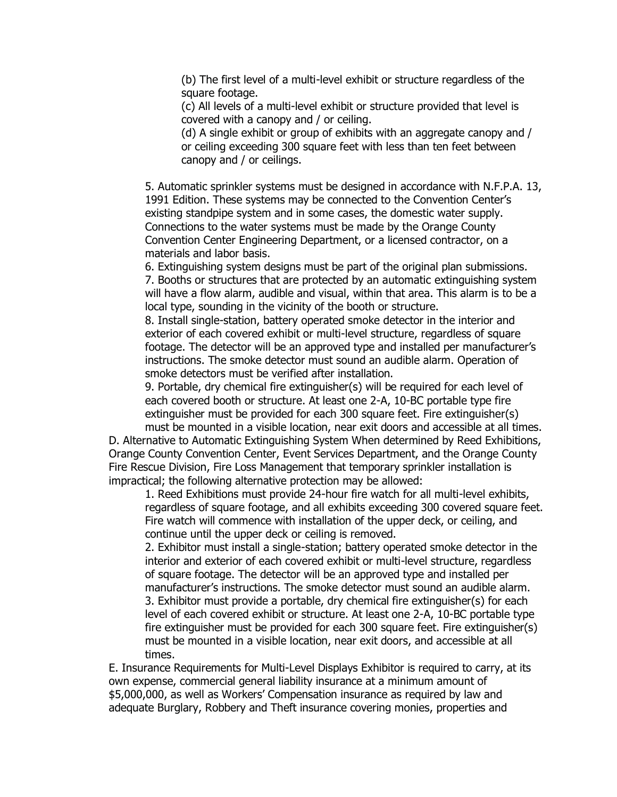(b) The first level of a multi-level exhibit or structure regardless of the square footage.

(c) All levels of a multi-level exhibit or structure provided that level is covered with a canopy and / or ceiling.

(d) A single exhibit or group of exhibits with an aggregate canopy and / or ceiling exceeding 300 square feet with less than ten feet between canopy and / or ceilings.

5. Automatic sprinkler systems must be designed in accordance with N.F.P.A. 13, 1991 Edition. These systems may be connected to the Convention Center's existing standpipe system and in some cases, the domestic water supply. Connections to the water systems must be made by the Orange County Convention Center Engineering Department, or a licensed contractor, on a materials and labor basis.

6. Extinguishing system designs must be part of the original plan submissions. 7. Booths or structures that are protected by an automatic extinguishing system will have a flow alarm, audible and visual, within that area. This alarm is to be a local type, sounding in the vicinity of the booth or structure.

8. Install single-station, battery operated smoke detector in the interior and exterior of each covered exhibit or multi-level structure, regardless of square footage. The detector will be an approved type and installed per manufacturer's instructions. The smoke detector must sound an audible alarm. Operation of smoke detectors must be verified after installation.

9. Portable, dry chemical fire extinguisher(s) will be required for each level of each covered booth or structure. At least one 2-A, 10-BC portable type fire extinguisher must be provided for each 300 square feet. Fire extinguisher(s) must be mounted in a visible location, near exit doors and accessible at all times.

D. Alternative to Automatic Extinguishing System When determined by Reed Exhibitions, Orange County Convention Center, Event Services Department, and the Orange County Fire Rescue Division, Fire Loss Management that temporary sprinkler installation is impractical; the following alternative protection may be allowed:

1. Reed Exhibitions must provide 24-hour fire watch for all multi-level exhibits, regardless of square footage, and all exhibits exceeding 300 covered square feet. Fire watch will commence with installation of the upper deck, or ceiling, and continue until the upper deck or ceiling is removed.

2. Exhibitor must install a single-station; battery operated smoke detector in the interior and exterior of each covered exhibit or multi-level structure, regardless of square footage. The detector will be an approved type and installed per manufacturer's instructions. The smoke detector must sound an audible alarm. 3. Exhibitor must provide a portable, dry chemical fire extinguisher(s) for each level of each covered exhibit or structure. At least one 2-A, 10-BC portable type fire extinguisher must be provided for each 300 square feet. Fire extinguisher(s) must be mounted in a visible location, near exit doors, and accessible at all times.

E. Insurance Requirements for Multi-Level Displays Exhibitor is required to carry, at its own expense, commercial general liability insurance at a minimum amount of \$5,000,000, as well as Workers' Compensation insurance as required by law and adequate Burglary, Robbery and Theft insurance covering monies, properties and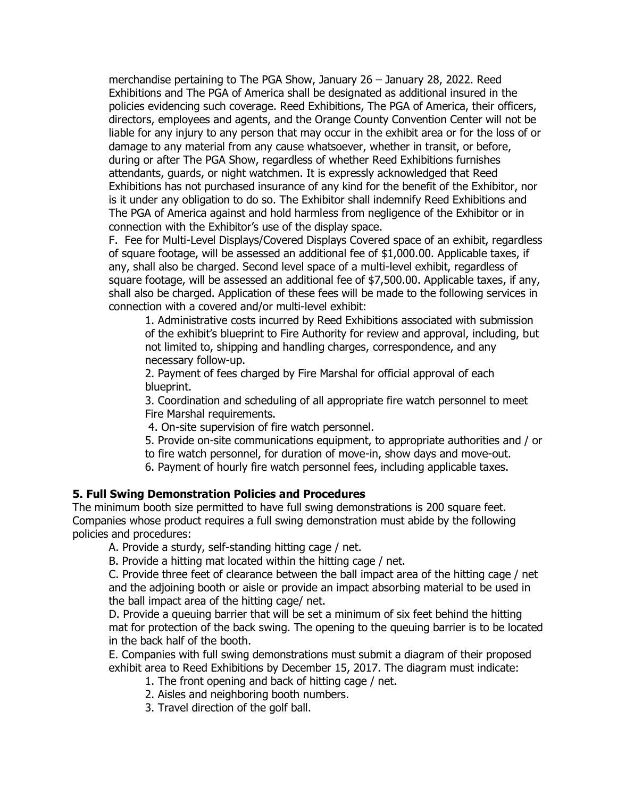merchandise pertaining to The PGA Show, January 26 – January 28, 2022. Reed Exhibitions and The PGA of America shall be designated as additional insured in the policies evidencing such coverage. Reed Exhibitions, The PGA of America, their officers, directors, employees and agents, and the Orange County Convention Center will not be liable for any injury to any person that may occur in the exhibit area or for the loss of or damage to any material from any cause whatsoever, whether in transit, or before, during or after The PGA Show, regardless of whether Reed Exhibitions furnishes attendants, guards, or night watchmen. It is expressly acknowledged that Reed Exhibitions has not purchased insurance of any kind for the benefit of the Exhibitor, nor is it under any obligation to do so. The Exhibitor shall indemnify Reed Exhibitions and The PGA of America against and hold harmless from negligence of the Exhibitor or in connection with the Exhibitor's use of the display space.

F. Fee for Multi-Level Displays/Covered Displays Covered space of an exhibit, regardless of square footage, will be assessed an additional fee of \$1,000.00. Applicable taxes, if any, shall also be charged. Second level space of a multi-level exhibit, regardless of square footage, will be assessed an additional fee of \$7,500.00. Applicable taxes, if any, shall also be charged. Application of these fees will be made to the following services in connection with a covered and/or multi-level exhibit:

1. Administrative costs incurred by Reed Exhibitions associated with submission of the exhibit's blueprint to Fire Authority for review and approval, including, but not limited to, shipping and handling charges, correspondence, and any necessary follow-up.

2. Payment of fees charged by Fire Marshal for official approval of each blueprint.

3. Coordination and scheduling of all appropriate fire watch personnel to meet Fire Marshal requirements.

4. On-site supervision of fire watch personnel.

5. Provide on-site communications equipment, to appropriate authorities and / or

to fire watch personnel, for duration of move-in, show days and move-out.

6. Payment of hourly fire watch personnel fees, including applicable taxes.

#### **5. Full Swing Demonstration Policies and Procedures**

The minimum booth size permitted to have full swing demonstrations is 200 square feet. Companies whose product requires a full swing demonstration must abide by the following policies and procedures:

A. Provide a sturdy, self-standing hitting cage / net.

B. Provide a hitting mat located within the hitting cage / net.

C. Provide three feet of clearance between the ball impact area of the hitting cage / net and the adjoining booth or aisle or provide an impact absorbing material to be used in the ball impact area of the hitting cage/ net.

D. Provide a queuing barrier that will be set a minimum of six feet behind the hitting mat for protection of the back swing. The opening to the queuing barrier is to be located in the back half of the booth.

E. Companies with full swing demonstrations must submit a diagram of their proposed exhibit area to Reed Exhibitions by December 15, 2017. The diagram must indicate:

- 1. The front opening and back of hitting cage / net.
- 2. Aisles and neighboring booth numbers.
- 3. Travel direction of the golf ball.